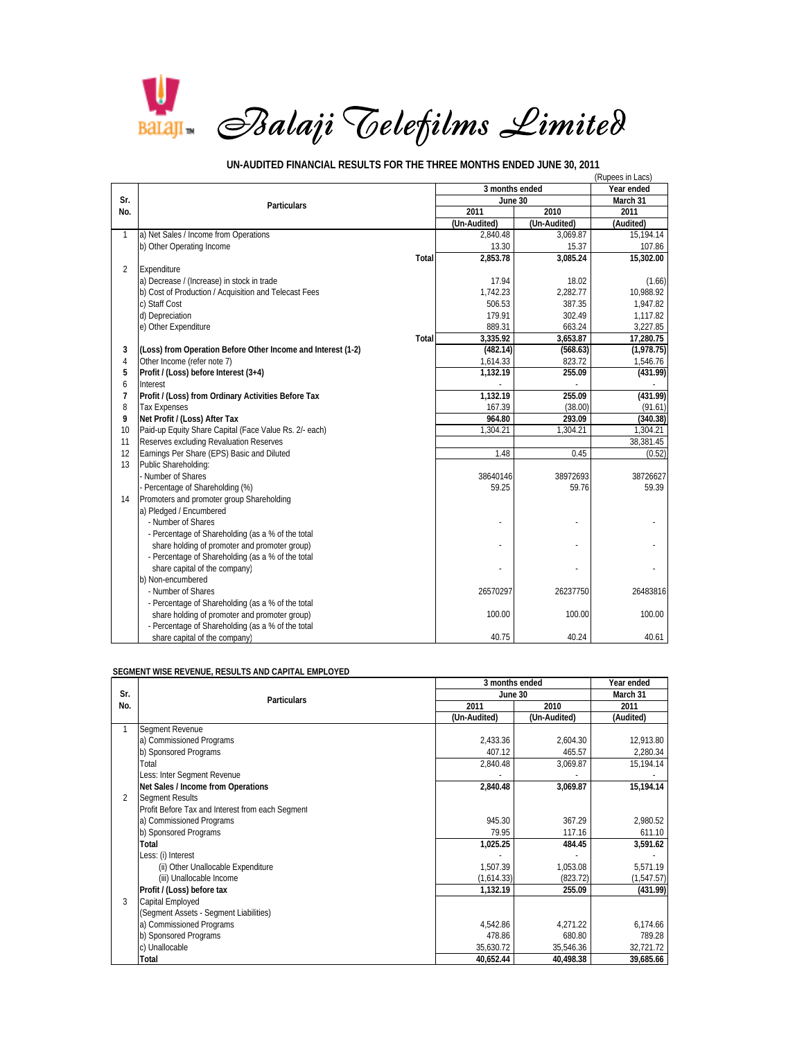

(Rupees in Lacs) **Year ended March 31** 2011 2010 2011 2011<br> **2011 2010 2011 2011**<br> **2011 (Un-Audited)** (Audited) **(Un-Audited) (Un-Audited) (Audited)** 1 a) Net Sales / Income from Operations 2,840.48 3,069.87 15,194.14<br>
107.86 15.37 15.37 16.38 b) Other Operating Income 13.30 15.37 15.37 15.37 15.37 15.37 15.37 15.37 15.37 15.37 15.37 15.37 15.37 15.37 15.37 15.37 15.37 15.37 15.37 15.37 15.37 15.37 15.37 15.37 15.37 15.37 15.37 15.37 15.37 15.37 15.37 15.37 15.3 **Total 2,853.78 3,085.24 15,302.00** 2 Expenditure a) Decrease / (Increase) in stock in trade 1.66) and the stock in trade 17.94 (1.66) 18.02 (1.66) 18.02 (1.66) 1<br>
a) Cost of Production / Acquisition and Telecast Fees (1.742.23) 1.742.23 b) Cost of Production / Acquisition and Telecast Fees 1,742.23 2,282.77 10,988.92<br>c) Staff Cost 2,282.77 10,988.92 c) Staff Cost 506.53 **1,947.82** 387.35 **1,947.82** d) Depreciation 1,117.82 302.49 1,117.82 e) Other Expenditure 889.31 663.24 3,227.85 663.24 3,227.85 663.24 663.24 3,227.85 **Total 3,335.92 3,653.87 17,280.75 21 (Loss) from Operation Before Other Income and Interest (1-2)** (482.14) (568.63) (1,978.75) (1,978.75) (368.63) (1,978.75) (568.63) (1,978.75) (568.63) (1,978.75) (568.63) (1,978.75) (546.76) (568.63) (1,978.75) (546.76 4 Other Income (refer note 7) 1,614.33 823.72 1,546.76 **5 Profit / (Loss) before Interest (3+4) 1,132.19 (431.99) 255.09**  6 Interest - - - **7 Profit / (Loss) from Ordinary Activities Before Tax** 1,132.19 **1,132.19 255.09 167.39 167.39 167.39 167.39 167.41 167.39 167.41 167.39 167.41 167.41 167.39 17.41 167.41 167.41 167.41** 8 Tax Expenses (38.00) (91.61) (91.61) (91.61) (91.61) (91.61) (91.61) (91.61) (91.61) **9 Net Profit / (Loss) After Tax 964.80 (340.38) 293.09**  10 Paid-up Equity Share Capital (Face Value Rs. 2/- each) 1,304.21 1,304.21 1,304.21 1,304.21 1,304.21 11 Reserves excluding Revaluation Reserves 38,381.45 <br>12 Earnings Per Share (EPS) Basic and Diluted **38.381.45** <br>1.48 <br>1.48 <br>1.48 <br>1.48 <br>1.48 <br>1.48 <br>1.48 <br>1.48 <br>1.48 <br>1.49 <br>1.49 <br>1.49 <br>1.49 <br>1.49 <br>1.49 <br>2.49 <br>2.49 <br>2.49 <br>2 Earnings Per Share (EPS) Basic and Diluted 13 Public Shareholding: - Number of Shares 38726627 Number of Shares 38726627 Percentage of Shareholding (%) 69.39 59.25 59.25 59.25 59.76 59.39 14 Promoters and promoter group Shareholding a) Pledged / Encumbered - Number of Shares - - - - Percentage of Shareholding (as a % of the total share holding of promoter and promoter group) - Percentage of Shareholding (as a % of the total share capital of the company) b) Non-encumbered - Number of Shares 26483816 26237750 26237750 26483816 - Percentage of Shareholding (as a % of the total share holding of promoter and promoter group) 100.00 100.00 100.00 100.00 100.00 100.00 - Percentage of Shareholding (as a % of the total share capital of the company) 40.61 40.61 40.61 40.61 40.61 40.61 40.61 40.61 40.61 40.61 40.61 40.61 40.61 40.61 **Sr. No. Particulars June 30 3 months ended**

 **UN-AUDITED FINANCIAL RESULTS FOR THE THREE MONTHS ENDED JUNE 30, 2011**

## **SEGMENT WISE REVENUE, RESULTS AND CAPITAL EMPLOYED**

|     | <b>Particulars</b>                               | 3 months ended | Year ended   |            |
|-----|--------------------------------------------------|----------------|--------------|------------|
| Sr. |                                                  | June 30        | March 31     |            |
| No. |                                                  | 2011           | 2010         | 2011       |
|     |                                                  | (Un-Audited)   | (Un-Audited) | (Audited)  |
|     | Segment Revenue                                  |                |              |            |
|     | a) Commissioned Programs                         | 2,433.36       | 2,604.30     | 12,913.80  |
|     | b) Sponsored Programs                            | 407.12         | 465.57       | 2,280.34   |
|     | Total                                            | 2,840.48       | 3,069.87     | 15,194.14  |
|     | Less: Inter Segment Revenue                      |                |              |            |
|     | Net Sales / Income from Operations               | 2,840.48       | 3,069.87     | 15,194.14  |
| 2   | <b>Segment Results</b>                           |                |              |            |
|     | Profit Before Tax and Interest from each Segment |                |              |            |
|     | a) Commissioned Programs                         | 945.30         | 367.29       | 2.980.52   |
|     | b) Sponsored Programs                            | 79.95          | 117.16       | 611.10     |
|     | Total                                            | 1,025.25       | 484.45       | 3,591.62   |
|     | Less: (i) Interest                               |                |              |            |
|     | (ii) Other Unallocable Expenditure               | 1,507.39       | 1,053.08     | 5,571.19   |
|     | (iii) Unallocable Income                         | (1,614.33)     | (823.72)     | (1,547.57) |
|     | Profit / (Loss) before tax                       | 1,132.19       | 255.09       | (431.99)   |
| 3   | Capital Employed                                 |                |              |            |
|     | (Segment Assets - Segment Liabilities)           |                |              |            |
|     | a) Commissioned Programs                         | 4,542.86       | 4,271.22     | 6,174.66   |
|     | b) Sponsored Programs                            | 478.86         | 680.80       | 789.28     |
|     | c) Unallocable                                   | 35,630.72      | 35,546.36    | 32,721.72  |
|     | Total                                            | 40,652.44      | 40,498.38    | 39,685.66  |